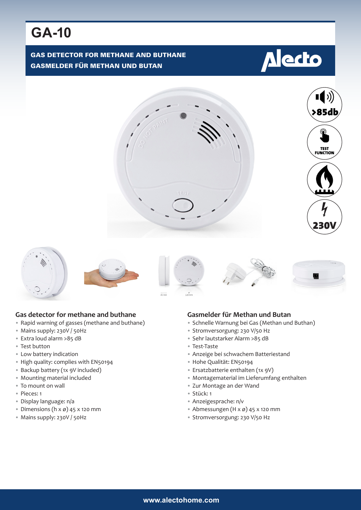# **GA-10**

### GAS DETECTOR FOR METHANE AND BUTHANE GASMELDER FÜR METHAN UND BUTAN

# **A** ecto















#### **Gas detector for methane and buthane**

- Rapid warning of gasses (methane and buthane)
- Mains supply: 230V / 50Hz
- Extra loud alarm >85 dB
- Test button
- Low battery indication
- High quality: complies with EN50194
- Backup battery (1x 9V included)
- Mounting material included
- To mount on wall
- Pieces: 1
- Display language: n/a
- Dimensions (h  $x \varnothing$ ) 45 x 120 mm
- Mains supply: 230V / 50Hz

#### **Gasmelder für Methan und Butan**

- Schnelle Warnung bei Gas (Methan und Buthan)
- Stromversorgung: 230 V/50 Hz
- Sehr lautstarker Alarm >85 dB
- Test-Taste
- Anzeige bei schwachem Batteriestand
- Hohe Qualität: EN50194
- Ersatzbatterie enthalten (1x 9V)
- Montagematerial im Lieferumfang enthalten
- Zur Montage an der Wand
- Stück: 1
- Anzeigesprache: n/v
- Abmessungen (H x ø) 45 x 120 mm
- Stromversorgung: 230 V/50 Hz

#### **www.alectohome.com**